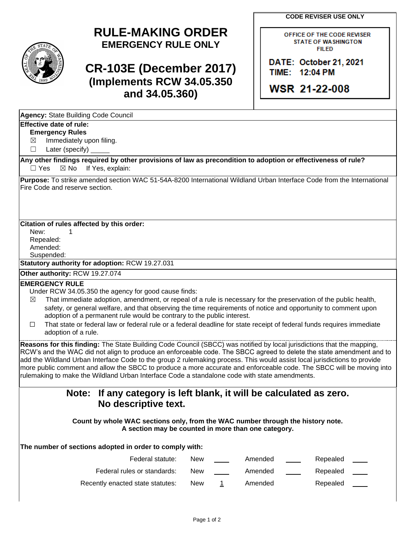**CODE REVISER USE ONLY**

OFFICE OF THE CODE REVISER



# **RULE-MAKING ORDER EMERGENCY RULE ONLY**

## **CR-103E (December 2017) (Implements RCW 34.05.350 and 34.05.360)**

**STATE OF WASHINGTON FILED** DATE: October 21, 2021

TIME: 12:04 PM

**WSR 21-22-008** 

| Agency: State Building Code Council                                                                                                                              |            |                |         |          |  |  |  |  |
|------------------------------------------------------------------------------------------------------------------------------------------------------------------|------------|----------------|---------|----------|--|--|--|--|
| Effective date of rule:                                                                                                                                          |            |                |         |          |  |  |  |  |
| <b>Emergency Rules</b>                                                                                                                                           |            |                |         |          |  |  |  |  |
| Immediately upon filing.<br>$\bowtie$                                                                                                                            |            |                |         |          |  |  |  |  |
| Later (specify)<br>□                                                                                                                                             |            |                |         |          |  |  |  |  |
| Any other findings required by other provisions of law as precondition to adoption or effectiveness of rule?<br>If Yes, explain:<br>$\Box$ Yes<br>$\boxtimes$ No |            |                |         |          |  |  |  |  |
| Purpose: To strike amended section WAC 51-54A-8200 International Wildland Urban Interface Code from the International                                            |            |                |         |          |  |  |  |  |
| Fire Code and reserve section.                                                                                                                                   |            |                |         |          |  |  |  |  |
|                                                                                                                                                                  |            |                |         |          |  |  |  |  |
|                                                                                                                                                                  |            |                |         |          |  |  |  |  |
| Citation of rules affected by this order:                                                                                                                        |            |                |         |          |  |  |  |  |
| New:<br>1                                                                                                                                                        |            |                |         |          |  |  |  |  |
| Repealed:<br>Amended:                                                                                                                                            |            |                |         |          |  |  |  |  |
| Suspended:                                                                                                                                                       |            |                |         |          |  |  |  |  |
| Statutory authority for adoption: RCW 19.27.031                                                                                                                  |            |                |         |          |  |  |  |  |
| Other authority: RCW 19.27.074                                                                                                                                   |            |                |         |          |  |  |  |  |
| <b>EMERGENCY RULE</b>                                                                                                                                            |            |                |         |          |  |  |  |  |
| Under RCW 34.05.350 the agency for good cause finds:                                                                                                             |            |                |         |          |  |  |  |  |
| That immediate adoption, amendment, or repeal of a rule is necessary for the preservation of the public health,<br>$\bowtie$                                     |            |                |         |          |  |  |  |  |
| safety, or general welfare, and that observing the time requirements of notice and opportunity to comment upon                                                   |            |                |         |          |  |  |  |  |
| adoption of a permanent rule would be contrary to the public interest.                                                                                           |            |                |         |          |  |  |  |  |
| That state or federal law or federal rule or a federal deadline for state receipt of federal funds requires immediate<br>П                                       |            |                |         |          |  |  |  |  |
| adoption of a rule.                                                                                                                                              |            |                |         |          |  |  |  |  |
| Reasons for this finding: The State Building Code Council (SBCC) was notified by local jurisdictions that the mapping,                                           |            |                |         |          |  |  |  |  |
| RCW's and the WAC did not align to produce an enforceable code. The SBCC agreed to delete the state amendment and to                                             |            |                |         |          |  |  |  |  |
| add the Wildland Urban Interface Code to the group 2 rulemaking process. This would assist local jurisdictions to provide                                        |            |                |         |          |  |  |  |  |
| more public comment and allow the SBCC to produce a more accurate and enforceable code. The SBCC will be moving into                                             |            |                |         |          |  |  |  |  |
| rulemaking to make the Wildland Urban Interface Code a standalone code with state amendments.                                                                    |            |                |         |          |  |  |  |  |
| If any category is left blank, it will be calculated as zero.<br>Note:                                                                                           |            |                |         |          |  |  |  |  |
| No descriptive text.                                                                                                                                             |            |                |         |          |  |  |  |  |
|                                                                                                                                                                  |            |                |         |          |  |  |  |  |
| Count by whole WAC sections only, from the WAC number through the history note.                                                                                  |            |                |         |          |  |  |  |  |
| A section may be counted in more than one category.                                                                                                              |            |                |         |          |  |  |  |  |
| The number of sections adopted in order to comply with:                                                                                                          |            |                |         |          |  |  |  |  |
| Federal statute:                                                                                                                                                 | <b>New</b> |                | Amended | Repealed |  |  |  |  |
| Federal rules or standards:                                                                                                                                      | New        |                | Amended | Repealed |  |  |  |  |
| Recently enacted state statutes:                                                                                                                                 | New        | $\overline{1}$ | Amended | Repealed |  |  |  |  |
|                                                                                                                                                                  |            |                |         |          |  |  |  |  |
|                                                                                                                                                                  |            |                |         |          |  |  |  |  |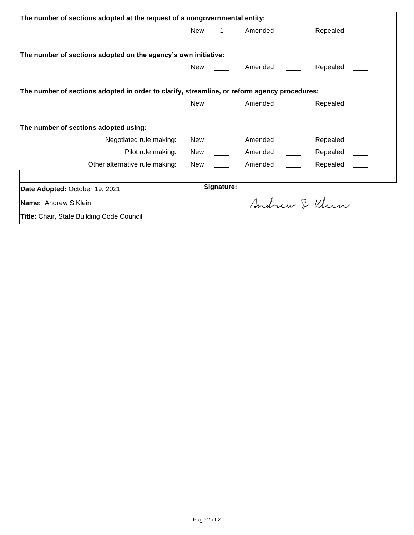| The number of sections adopted at the request of a nongovernmental entity:                   |     |             |         |  |                |  |  |  |
|----------------------------------------------------------------------------------------------|-----|-------------|---------|--|----------------|--|--|--|
|                                                                                              | New | $\mathbf 1$ | Amended |  | Repealed       |  |  |  |
|                                                                                              |     |             |         |  |                |  |  |  |
| The number of sections adopted on the agency's own initiative:                               |     |             |         |  |                |  |  |  |
|                                                                                              | New |             | Amended |  | Repealed       |  |  |  |
|                                                                                              |     |             |         |  |                |  |  |  |
| The number of sections adopted in order to clarify, streamline, or reform agency procedures: |     |             |         |  |                |  |  |  |
|                                                                                              | New |             | Amended |  | Repealed       |  |  |  |
|                                                                                              |     |             |         |  |                |  |  |  |
| The number of sections adopted using:                                                        |     |             |         |  |                |  |  |  |
| Negotiated rule making:                                                                      | New |             | Amended |  | Repealed       |  |  |  |
| Pilot rule making:                                                                           | New |             | Amended |  | Repealed ____  |  |  |  |
| Other alternative rule making:                                                               | New |             | Amended |  | Repealed       |  |  |  |
|                                                                                              |     |             |         |  |                |  |  |  |
| Date Adopted: October 19, 2021                                                               |     | Signature:  |         |  |                |  |  |  |
| Name: Andrew S Klein                                                                         |     |             |         |  | Andrew & Klien |  |  |  |
| <b>Title: Chair, State Building Code Council</b>                                             |     |             |         |  |                |  |  |  |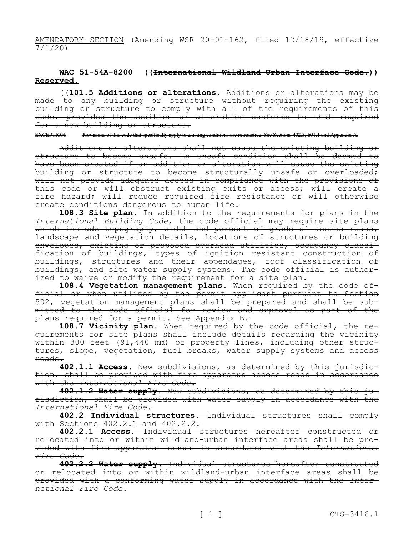AMENDATORY SECTION (Amending WSR 20-01-162, filed 12/18/19, effective 7/1/20)

## **WAC 51-54A-8200 ((International Wildland-Urban Interface Code.)) Reserved.**

((**101.5 Additions or alterations.** Additions or alterations may be made to any building or structure without requiring the existing building or structure to comply with all of the requirements of this code, provided the addition or alteration conforms to that required for a new building or structure.

EXCEPTION: Provisions of this code that specifically apply to existing conditions are retroactive. See Sections 402.3, 601.1 and Appendix A.

Additions or alterations shall not cause the existing building or structure to become unsafe. An unsafe condition shall be deemed to have been created if an addition or alteration will cause the existing building or structure to become structurally unsafe or overloaded; will not provide adequate access in compliance with the provisions of this code or will obstruct existing exits or access; will create a fire hazard; will reduce required fire resistance or will otherwise create conditions dangerous to human life.

**108.3 Site plan.** In addition to the requirements for plans in the *International Building Code*, the code official may require site plans which include topography, width and percent of grade of access roads, landscape and vegetation details, locations of structures or building envelopes, existing or proposed overhead utilities, occupancy classification of buildings, types of ignition resistant construction of buildings, structures and their appendages, roof classification of buildings, and site water supply systems. The code official is authorized to waive or modify the requirement for a site plan.

**108.4 Vegetation management plans.** When required by the code official or when utilized by the permit applicant pursuant to Section 502, vegetation management plans shall be prepared and shall be submitted to the code official for review and approval as part of the plans required for a permit. See Appendix B.

**108.7 Vicinity plan.** When required by the code official, the requirements for site plans shall include details regarding the vicinity within 300 feet (91,440 mm) of property lines, including other structures, slope, vegetation, fuel breaks, water supply systems and access roads.

**402.1.1 Access.** New subdivisions, as determined by this jurisdiction, shall be provided with fire apparatus access roads in accordance with the *International Fire Code*.

**402.1.2 Water supply.** New subdivisions, as determined by this jurisdiction, shall be provided with water supply in accordance with the *International Fire Code*.

**402.2 Individual structures.** Individual structures shall comply with Sections 402.2.1 and 402.2.2.

**402.2.1 Access.** Individual structures hereafter constructed or relocated into or within wildland-urban interface areas shall be provided with fire apparatus access in accordance with the *International Fire Code*.

**402.2.2 Water supply.** Individual structures hereafter constructed or relocated into or within wildland-urban interface areas shall be provided with a conforming water supply in accordance with the *International Fire Code*.